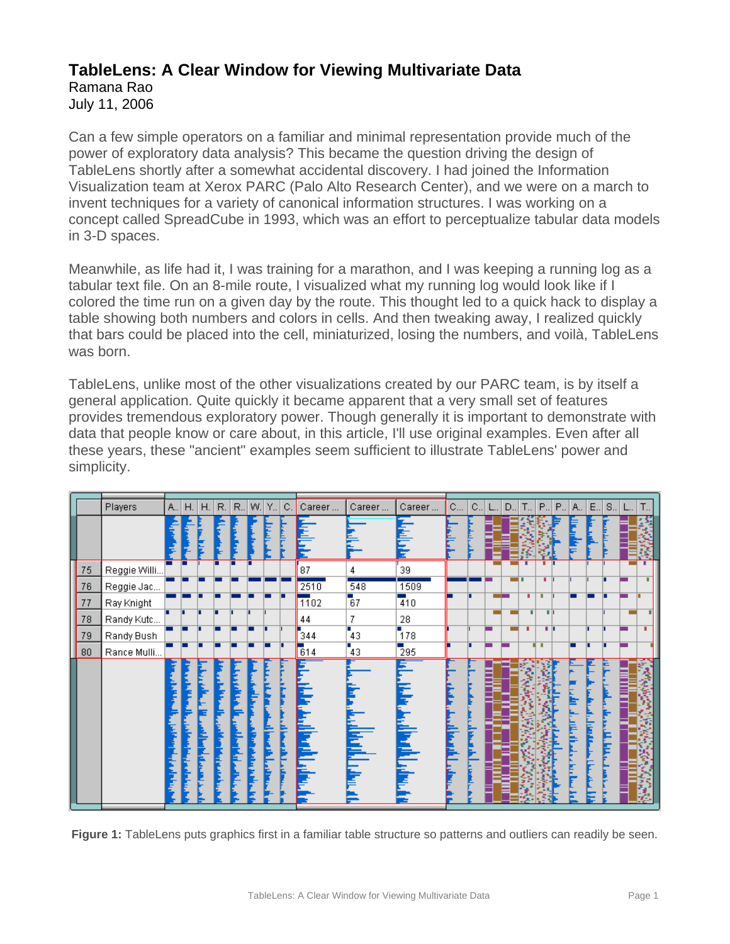## **TableLens: A Clear Window for Viewing Multivariate Data**

Ramana Rao

July 11, 2006

Can a few simple operators on a familiar and minimal representation provide much of the power of exploratory data analysis? This became the question driving the design of TableLens shortly after a somewhat accidental discovery. I had joined the Information Visualization team at Xerox PARC (Palo Alto Research Center), and we were on a march to invent techniques for a variety of canonical information structures. I was working on a concept called SpreadCube in 1993, which was an effort to perceptualize tabular data models in 3-D spaces.

Meanwhile, as life had it, I was training for a marathon, and I was keeping a running log as a tabular text file. On an 8-mile route, I visualized what my running log would look like if I colored the time run on a given day by the route. This thought led to a quick hack to display a table showing both numbers and colors in cells. And then tweaking away, I realized quickly that bars could be placed into the cell, miniaturized, losing the numbers, and voilà, TableLens was born.

TableLens, unlike most of the other visualizations created by our PARC team, is by itself a general application. Quite quickly it became apparent that a very small set of features provides tremendous exploratory power. Though generally it is important to demonstrate with data that people know or care about, in this article, I'll use original examples. Even after all these years, these "ancient" examples seem sufficient to illustrate TableLens' power and simplicity.

| E<br>$S_{\cdot \cdot}$<br>Τ., |
|-------------------------------|
|                               |
|                               |
|                               |
|                               |
|                               |
|                               |
|                               |
|                               |
| H                             |
|                               |
|                               |
|                               |
|                               |
|                               |
|                               |
|                               |
|                               |
|                               |
|                               |
|                               |

**Figure 1:** TableLens puts graphics first in a familiar table structure so patterns and outliers can readily be seen.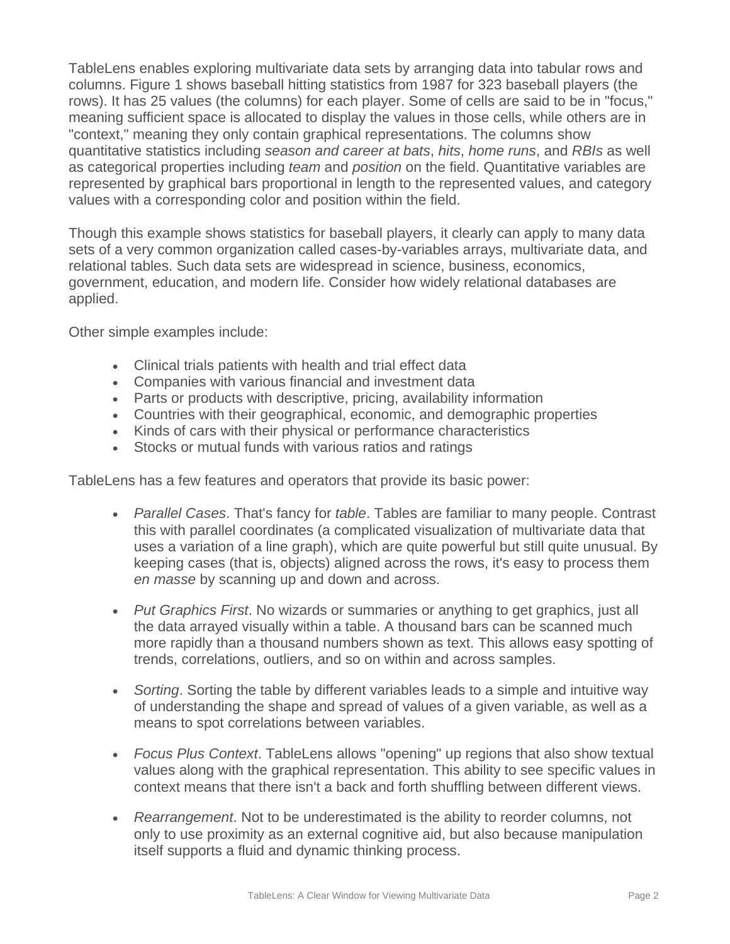TableLens enables exploring multivariate data sets by arranging data into tabular rows and columns. Figure 1 shows baseball hitting statistics from 1987 for 323 baseball players (the rows). It has 25 values (the columns) for each player. Some of cells are said to be in "focus," meaning sufficient space is allocated to display the values in those cells, while others are in "context," meaning they only contain graphical representations. The columns show quantitative statistics including *season and career at bats*, *hits*, *home runs*, and *RBIs* as well as categorical properties including *team* and *position* on the field. Quantitative variables are represented by graphical bars proportional in length to the represented values, and category values with a corresponding color and position within the field.

Though this example shows statistics for baseball players, it clearly can apply to many data sets of a very common organization called cases-by-variables arrays, multivariate data, and relational tables. Such data sets are widespread in science, business, economics, government, education, and modern life. Consider how widely relational databases are applied.

Other simple examples include:

- Clinical trials patients with health and trial effect data
- Companies with various financial and investment data
- Parts or products with descriptive, pricing, availability information
- Countries with their geographical, economic, and demographic properties
- Kinds of cars with their physical or performance characteristics
- Stocks or mutual funds with various ratios and ratings

TableLens has a few features and operators that provide its basic power:

- *Parallel Cases*. That's fancy for *table*. Tables are familiar to many people. Contrast this with parallel coordinates (a complicated visualization of multivariate data that uses a variation of a line graph), which are quite powerful but still quite unusual. By keeping cases (that is, objects) aligned across the rows, it's easy to process them *en masse* by scanning up and down and across.
- *Put Graphics First*. No wizards or summaries or anything to get graphics, just all the data arrayed visually within a table. A thousand bars can be scanned much more rapidly than a thousand numbers shown as text. This allows easy spotting of trends, correlations, outliers, and so on within and across samples.
- *Sorting*. Sorting the table by different variables leads to a simple and intuitive way of understanding the shape and spread of values of a given variable, as well as a means to spot correlations between variables.
- *Focus Plus Context*. TableLens allows "opening" up regions that also show textual values along with the graphical representation. This ability to see specific values in context means that there isn't a back and forth shuffling between different views.
- *Rearrangement*. Not to be underestimated is the ability to reorder columns, not only to use proximity as an external cognitive aid, but also because manipulation itself supports a fluid and dynamic thinking process.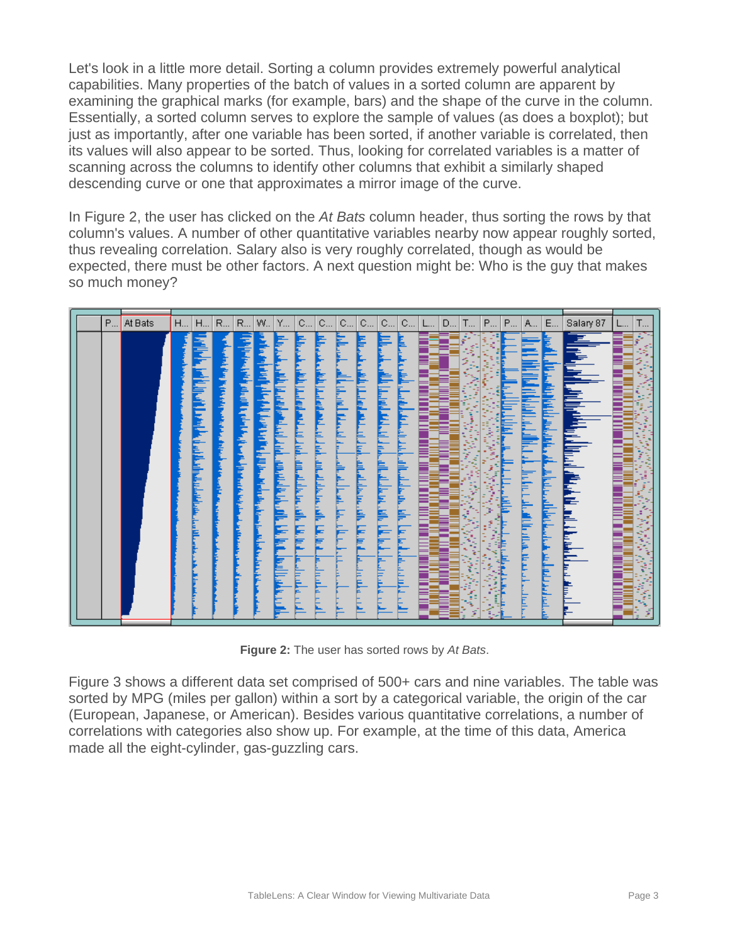Let's look in a little more detail. Sorting a column provides extremely powerful analytical capabilities. Many properties of the batch of values in a sorted column are apparent by examining the graphical marks (for example, bars) and the shape of the curve in the column. Essentially, a sorted column serves to explore the sample of values (as does a boxplot); but just as importantly, after one variable has been sorted, if another variable is correlated, then its values will also appear to be sorted. Thus, looking for correlated variables is a matter of scanning across the columns to identify other columns that exhibit a similarly shaped descending curve or one that approximates a mirror image of the curve.

In Figure 2, the user has clicked on the *At Bats* column header, thus sorting the rows by that column's values. A number of other quantitative variables nearby now appear roughly sorted, thus revealing correlation. Salary also is very roughly correlated, though as would be expected, there must be other factors. A next question might be: Who is the guy that makes so much money?



**Figure 2:** The user has sorted rows by *At Bats*.

Figure 3 shows a different data set comprised of 500+ cars and nine variables. The table was sorted by MPG (miles per gallon) within a sort by a categorical variable, the origin of the car (European, Japanese, or American). Besides various quantitative correlations, a number of correlations with categories also show up. For example, at the time of this data, America made all the eight-cylinder, gas-guzzling cars.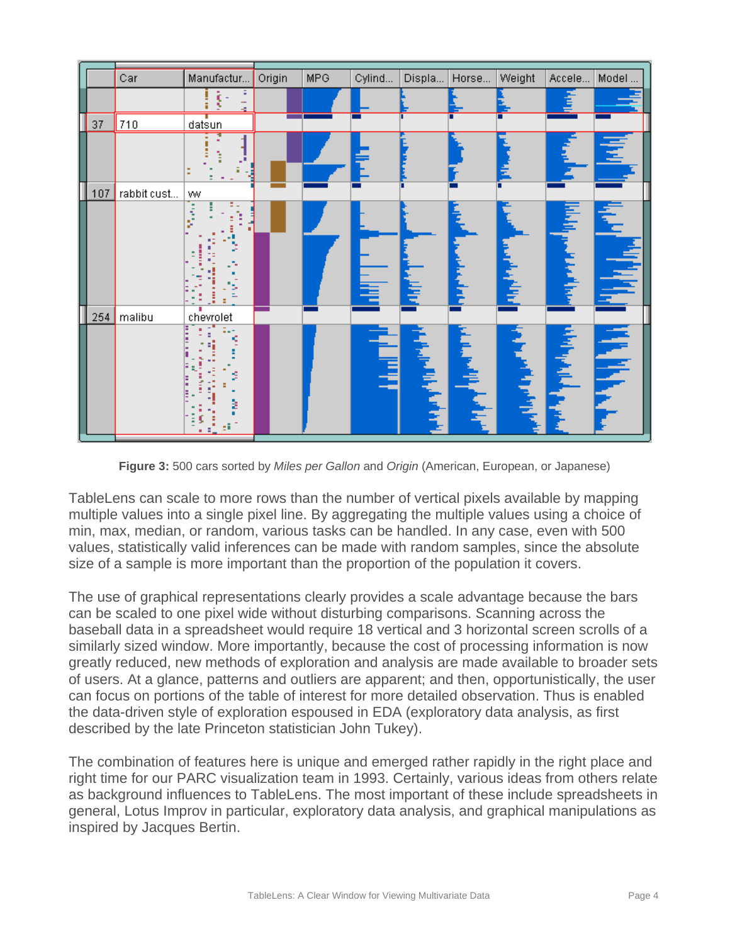|     | Car         | Manufactur | Origin | <b>MPG</b> | Cylind      | Displa          | Horse | Weight | Accele | Model |
|-----|-------------|------------|--------|------------|-------------|-----------------|-------|--------|--------|-------|
|     |             |            |        |            |             |                 |       |        |        |       |
| 37  | 710         | datsun     |        |            |             |                 |       |        |        |       |
|     |             | в          |        |            |             |                 |       |        |        |       |
| 107 | rabbit cust | ww         |        |            |             |                 |       |        |        |       |
|     | 254 malibu  | chevrolet  |        |            | <u>in a</u> |                 |       |        |        | É     |
|     |             | s          |        |            | É           | <b>TELETION</b> |       |        |        |       |

**Figure 3:** 500 cars sorted by *Miles per Gallon* and *Origin* (American, European, or Japanese)

TableLens can scale to more rows than the number of vertical pixels available by mapping multiple values into a single pixel line. By aggregating the multiple values using a choice of min, max, median, or random, various tasks can be handled. In any case, even with 500 values, statistically valid inferences can be made with random samples, since the absolute size of a sample is more important than the proportion of the population it covers.

The use of graphical representations clearly provides a scale advantage because the bars can be scaled to one pixel wide without disturbing comparisons. Scanning across the baseball data in a spreadsheet would require 18 vertical and 3 horizontal screen scrolls of a similarly sized window. More importantly, because the cost of processing information is now greatly reduced, new methods of exploration and analysis are made available to broader sets of users. At a glance, patterns and outliers are apparent; and then, opportunistically, the user can focus on portions of the table of interest for more detailed observation. Thus is enabled the data-driven style of exploration espoused in EDA (exploratory data analysis, as first described by the late Princeton statistician John Tukey).

The combination of features here is unique and emerged rather rapidly in the right place and right time for our PARC visualization team in 1993. Certainly, various ideas from others relate as background influences to TableLens. The most important of these include spreadsheets in general, Lotus Improv in particular, exploratory data analysis, and graphical manipulations as inspired by Jacques Bertin.